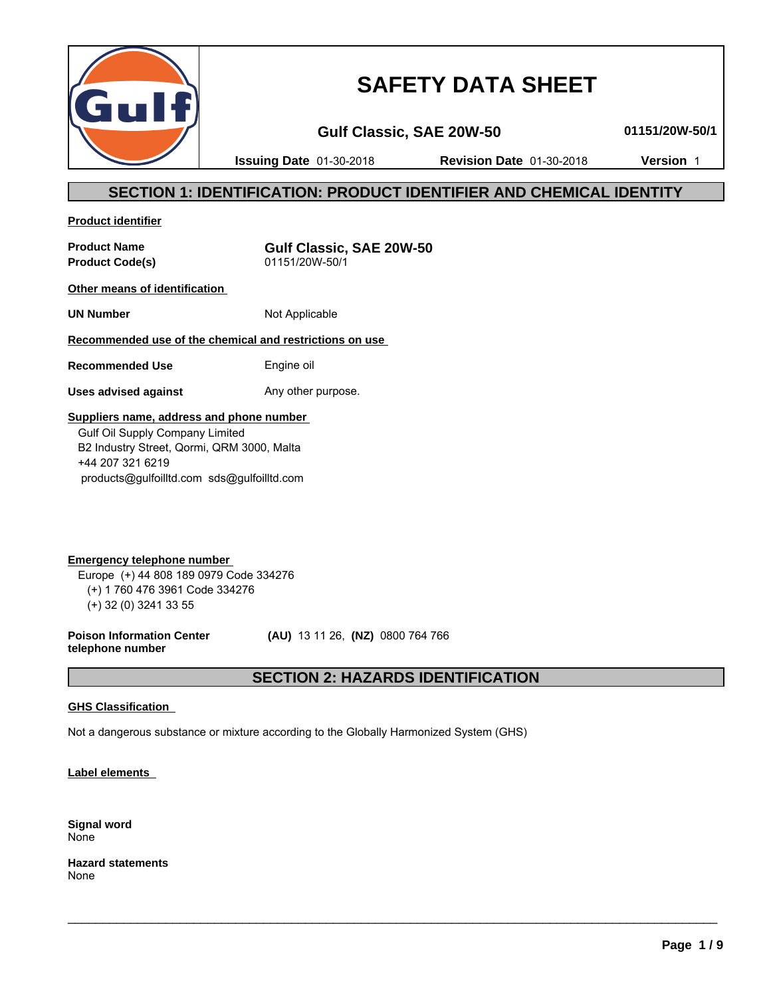

# **SAFETY DATA SHEET**

**Gulf Classic, SAE 20W-50 01151/20W-50/1**

**Issuing Date** 01-30-2018 **Revision Date** 01-30-2018 **Version** 1

## **SECTION 1: IDENTIFICATION: PRODUCT IDENTIFIER AND CHEMICAL IDENTITY**

**Product identifier**

**Product Code(s)** 

**Product Name**<br> **Product Code(s)**<br> **COMPOSE:** 01151/20W-50/1

**Other means of identification** 

**UN Number** Not Applicable

## **Recommended use of the chemical and restrictions on use**

**Recommended Use** Engine oil

**Uses advised against** Any other purpose.

#### **Suppliers name, address and phone number**

 Gulf Oil Supply Company Limited B2 Industry Street, Qormi, QRM 3000, Malta +44 207 321 6219 products@gulfoilltd.com sds@gulfoilltd.com

**Emergency telephone number**  Europe (+) 44 808 189 0979 Code 334276 (+) 1 760 476 3961 Code 334276 (+) 32 (0) 3241 33 55

**Poison Information Center telephone number**

 **(AU)** 13 11 26, **(NZ)** 0800 764 766

 $\_$  ,  $\_$  ,  $\_$  ,  $\_$  ,  $\_$  ,  $\_$  ,  $\_$  ,  $\_$  ,  $\_$  ,  $\_$  ,  $\_$  ,  $\_$  ,  $\_$  ,  $\_$  ,  $\_$  ,  $\_$  ,  $\_$  ,  $\_$  ,  $\_$  ,  $\_$  ,  $\_$  ,  $\_$  ,  $\_$  ,  $\_$  ,  $\_$  ,  $\_$  ,  $\_$  ,  $\_$  ,  $\_$  ,  $\_$  ,  $\_$  ,  $\_$  ,  $\_$  ,  $\_$  ,  $\_$  ,  $\_$  ,  $\_$  ,

**SECTION 2: HAZARDS IDENTIFICATION**

#### **GHS Classification**

Not a dangerous substance or mixture according to the Globally Harmonized System (GHS)

**Label elements** 

**Signal word** None

**Hazard statements** None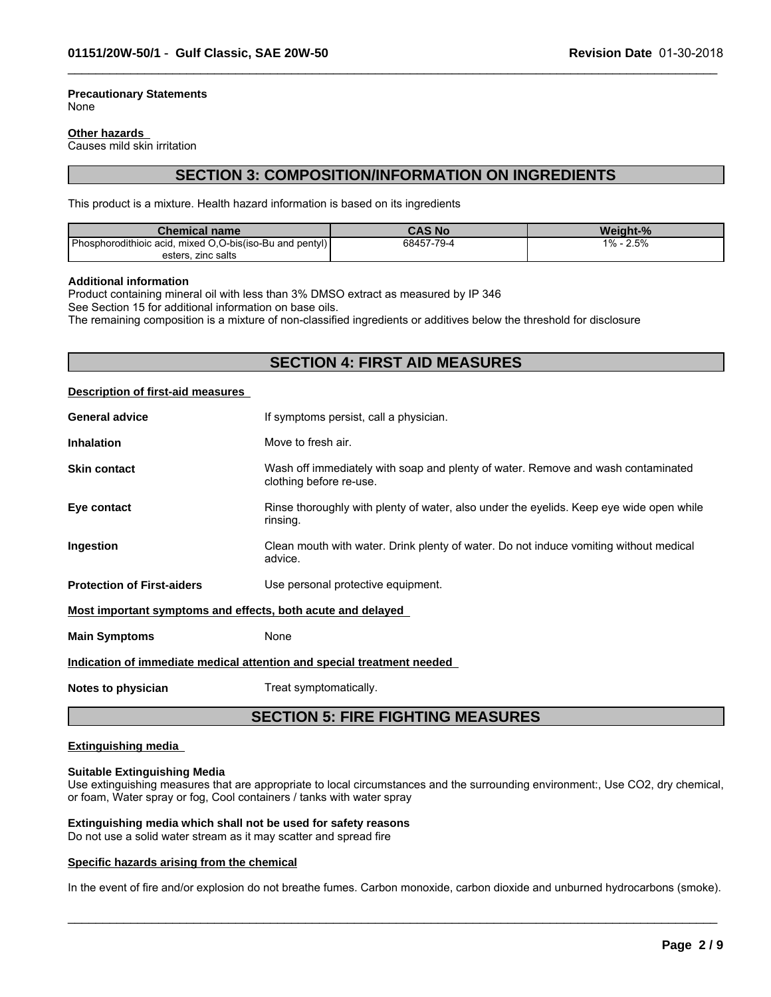#### **Precautionary Statements** None

#### **Other hazards**

Causes mild skin irritation

## **SECTION 3: COMPOSITION/INFORMATION ON INGREDIENTS**

 $\_$  ,  $\_$  ,  $\_$  ,  $\_$  ,  $\_$  ,  $\_$  ,  $\_$  ,  $\_$  ,  $\_$  ,  $\_$  ,  $\_$  ,  $\_$  ,  $\_$  ,  $\_$  ,  $\_$  ,  $\_$  ,  $\_$  ,  $\_$  ,  $\_$  ,  $\_$  ,  $\_$  ,  $\_$  ,  $\_$  ,  $\_$  ,  $\_$  ,  $\_$  ,  $\_$  ,  $\_$  ,  $\_$  ,  $\_$  ,  $\_$  ,  $\_$  ,  $\_$  ,  $\_$  ,  $\_$  ,  $\_$  ,  $\_$  ,

This product is a mixture. Health hazard information is based on its ingredients

| <b>Chemical name</b>                                            | CAS No     | Weight-%     |
|-----------------------------------------------------------------|------------|--------------|
| Phosp<br>mixed O.O-bis(iso-Bu and pentyl)<br>phorodithioic acid | 68457-79-4 | 2.5%<br>1% - |
| esters, zinc salts                                              |            |              |

#### **Additional information**

Product containing mineral oil with less than 3% DMSO extract as measured by IP 346 See Section 15 for additional information on base oils.

The remaining composition is a mixture of non-classified ingredients or additives below the threshold for disclosure

## **SECTION 4: FIRST AID MEASURES**

#### **Description of first-aid measures**

| <b>General advice</b>                                                  | If symptoms persist, call a physician.                                                                      |  |
|------------------------------------------------------------------------|-------------------------------------------------------------------------------------------------------------|--|
| <b>Inhalation</b>                                                      | Move to fresh air.                                                                                          |  |
| <b>Skin contact</b>                                                    | Wash off immediately with soap and plenty of water. Remove and wash contaminated<br>clothing before re-use. |  |
| Eye contact                                                            | Rinse thoroughly with plenty of water, also under the eyelids. Keep eye wide open while<br>rinsing.         |  |
| Ingestion                                                              | Clean mouth with water. Drink plenty of water. Do not induce vomiting without medical<br>advice.            |  |
| <b>Protection of First-aiders</b>                                      | Use personal protective equipment.                                                                          |  |
| Most important symptoms and effects, both acute and delayed            |                                                                                                             |  |
| <b>Main Symptoms</b>                                                   | None                                                                                                        |  |
| Indication of immediate medical attention and special treatment needed |                                                                                                             |  |
| Notes to physician                                                     | Treat symptomatically.                                                                                      |  |
|                                                                        |                                                                                                             |  |

## **SECTION 5: FIRE FIGHTING MEASURES**

#### **Extinguishing media**

#### **Suitable Extinguishing Media**

Use extinguishing measures that are appropriate to local circumstances and the surrounding environment:, Use CO2, dry chemical, or foam, Water spray or fog, Cool containers / tanks with water spray

#### **Extinguishing media which shall not be used for safety reasons**

Do not use a solid water stream as it may scatter and spread fire

#### **Specific hazards arising from the chemical**

In the event of fire and/or explosion do not breathe fumes. Carbon monoxide, carbon dioxide and unburned hydrocarbons (smoke).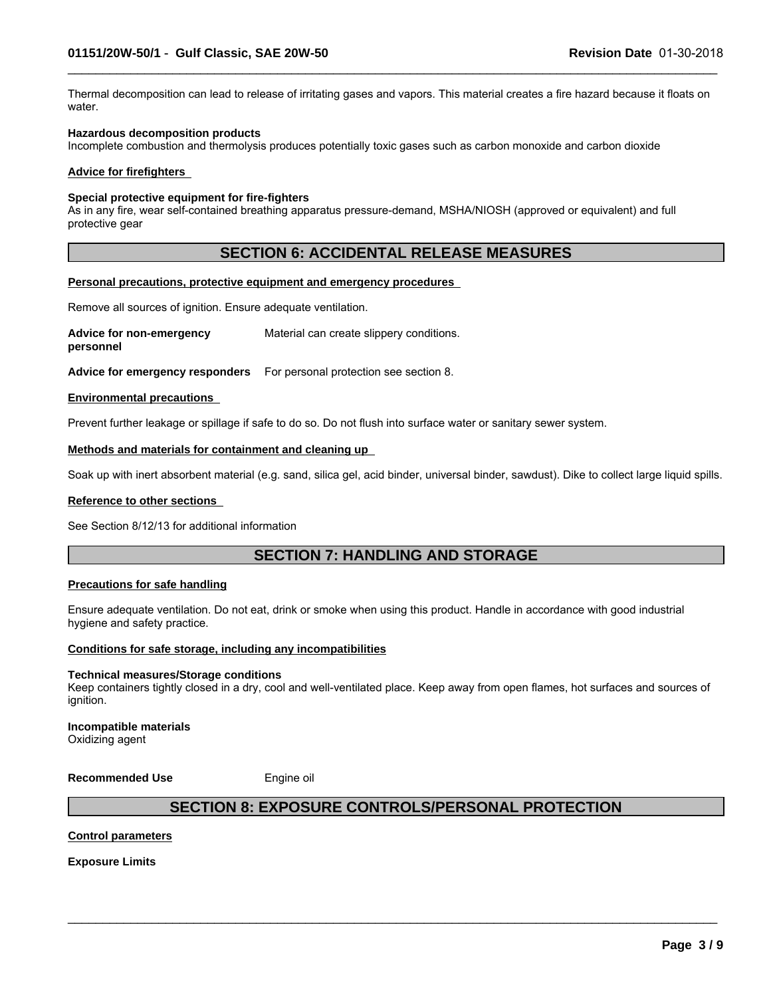Thermal decomposition can lead to release of irritating gases and vapors. This material creates a fire hazard because it floats on water.

 $\_$  ,  $\_$  ,  $\_$  ,  $\_$  ,  $\_$  ,  $\_$  ,  $\_$  ,  $\_$  ,  $\_$  ,  $\_$  ,  $\_$  ,  $\_$  ,  $\_$  ,  $\_$  ,  $\_$  ,  $\_$  ,  $\_$  ,  $\_$  ,  $\_$  ,  $\_$  ,  $\_$  ,  $\_$  ,  $\_$  ,  $\_$  ,  $\_$  ,  $\_$  ,  $\_$  ,  $\_$  ,  $\_$  ,  $\_$  ,  $\_$  ,  $\_$  ,  $\_$  ,  $\_$  ,  $\_$  ,  $\_$  ,  $\_$  ,

#### **Hazardous decomposition products**

Incomplete combustion and thermolysis produces potentially toxic gases such as carbon monoxide and carbon dioxide

#### **Advice for firefighters**

#### **Special protective equipment for fire-fighters**

As in any fire, wear self-contained breathing apparatus pressure-demand, MSHA/NIOSH (approved or equivalent) and full protective gear

## **SECTION 6: ACCIDENTAL RELEASE MEASURES**

#### **Personal precautions, protective equipment and emergency procedures**

Remove all sources of ignition. Ensure adequate ventilation.

**Advice for non-emergency personnel** Material can create slippery conditions.

**Advice for emergency responders** For personal protection see section 8.

#### **Environmental precautions**

Prevent further leakage or spillage if safe to do so. Do not flush into surface water or sanitary sewer system.

#### **Methods and materials for containment and cleaning up**

Soak up with inert absorbent material (e.g. sand, silica gel, acid binder, universal binder, sawdust). Dike to collect large liquid spills.

#### **Reference to other sections**

See Section 8/12/13 for additional information

## **SECTION 7: HANDLING AND STORAGE**

#### **Precautions for safe handling**

Ensure adequate ventilation. Do not eat, drink or smoke when using this product. Handle in accordance with good industrial hygiene and safety practice.

#### **Conditions for safe storage, including any incompatibilities**

#### **Technical measures/Storage conditions**

Keep containers tightly closed in a dry, cool and well-ventilated place. Keep away from open flames, hot surfaces and sources of ignition.

**Incompatible materials** Oxidizing agent

**Recommended Use** Engine oil

## **SECTION 8: EXPOSURE CONTROLS/PERSONAL PROTECTION**

 $\_$  ,  $\_$  ,  $\_$  ,  $\_$  ,  $\_$  ,  $\_$  ,  $\_$  ,  $\_$  ,  $\_$  ,  $\_$  ,  $\_$  ,  $\_$  ,  $\_$  ,  $\_$  ,  $\_$  ,  $\_$  ,  $\_$  ,  $\_$  ,  $\_$  ,  $\_$  ,  $\_$  ,  $\_$  ,  $\_$  ,  $\_$  ,  $\_$  ,  $\_$  ,  $\_$  ,  $\_$  ,  $\_$  ,  $\_$  ,  $\_$  ,  $\_$  ,  $\_$  ,  $\_$  ,  $\_$  ,  $\_$  ,  $\_$  ,

#### **Control parameters**

**Exposure Limits**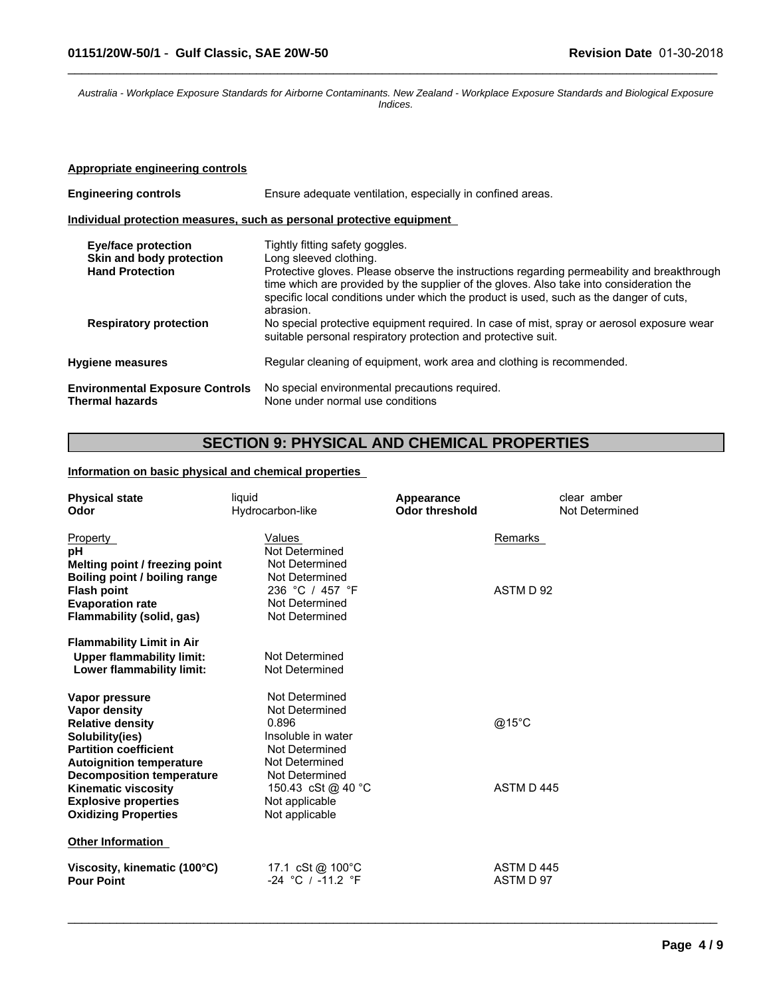*Australia - Workplace Exposure Standards for Airborne Contaminants. New Zealand - Workplace Exposure Standards and Biological Exposure Indices.*

 $\_$  ,  $\_$  ,  $\_$  ,  $\_$  ,  $\_$  ,  $\_$  ,  $\_$  ,  $\_$  ,  $\_$  ,  $\_$  ,  $\_$  ,  $\_$  ,  $\_$  ,  $\_$  ,  $\_$  ,  $\_$  ,  $\_$  ,  $\_$  ,  $\_$  ,  $\_$  ,  $\_$  ,  $\_$  ,  $\_$  ,  $\_$  ,  $\_$  ,  $\_$  ,  $\_$  ,  $\_$  ,  $\_$  ,  $\_$  ,  $\_$  ,  $\_$  ,  $\_$  ,  $\_$  ,  $\_$  ,  $\_$  ,  $\_$  ,

#### **Appropriate engineering controls**

| <b>Engineering controls</b>                               | Ensure adequate ventilation, especially in confined areas.                                                                                                                                                                                                                                   |  |
|-----------------------------------------------------------|----------------------------------------------------------------------------------------------------------------------------------------------------------------------------------------------------------------------------------------------------------------------------------------------|--|
|                                                           | Individual protection measures, such as personal protective equipment                                                                                                                                                                                                                        |  |
| <b>Eye/face protection</b><br>Skin and body protection    | Tightly fitting safety goggles.<br>Long sleeved clothing.                                                                                                                                                                                                                                    |  |
| <b>Hand Protection</b>                                    | Protective gloves. Please observe the instructions regarding permeability and breakthrough<br>time which are provided by the supplier of the gloves. Also take into consideration the<br>specific local conditions under which the product is used, such as the danger of cuts,<br>abrasion. |  |
| <b>Respiratory protection</b>                             | No special protective equipment required. In case of mist, spray or aerosol exposure wear<br>suitable personal respiratory protection and protective suit.                                                                                                                                   |  |
| <b>Hygiene measures</b>                                   | Regular cleaning of equipment, work area and clothing is recommended.                                                                                                                                                                                                                        |  |
| <b>Environmental Exposure Controls</b><br>Thermal hazards | No special environmental precautions required.<br>None under normal use conditions                                                                                                                                                                                                           |  |

## **SECTION 9: PHYSICAL AND CHEMICAL PROPERTIES**

 $\_$  ,  $\_$  ,  $\_$  ,  $\_$  ,  $\_$  ,  $\_$  ,  $\_$  ,  $\_$  ,  $\_$  ,  $\_$  ,  $\_$  ,  $\_$  ,  $\_$  ,  $\_$  ,  $\_$  ,  $\_$  ,  $\_$  ,  $\_$  ,  $\_$  ,  $\_$  ,  $\_$  ,  $\_$  ,  $\_$  ,  $\_$  ,  $\_$  ,  $\_$  ,  $\_$  ,  $\_$  ,  $\_$  ,  $\_$  ,  $\_$  ,  $\_$  ,  $\_$  ,  $\_$  ,  $\_$  ,  $\_$  ,  $\_$  ,

#### **Information on basic physical and chemical properties**

| <b>Physical state</b>            | liquid             | Appearance            | clear amber    |  |
|----------------------------------|--------------------|-----------------------|----------------|--|
| Odor                             | Hydrocarbon-like   | <b>Odor threshold</b> | Not Determined |  |
| Property                         | Values             |                       | Remarks        |  |
| рH                               | Not Determined     |                       |                |  |
| Melting point / freezing point   | Not Determined     |                       |                |  |
| Boiling point / boiling range    | Not Determined     |                       |                |  |
| <b>Flash point</b>               | 236 °C / 457 °F    |                       | ASTM D 92      |  |
| <b>Evaporation rate</b>          | Not Determined     |                       |                |  |
| Flammability (solid, gas)        | Not Determined     |                       |                |  |
| <b>Flammability Limit in Air</b> |                    |                       |                |  |
| <b>Upper flammability limit:</b> | Not Determined     |                       |                |  |
| Lower flammability limit:        | Not Determined     |                       |                |  |
| Vapor pressure                   | Not Determined     |                       |                |  |
| Vapor density                    | Not Determined     |                       |                |  |
| <b>Relative density</b>          | 0.896              |                       | @15°C          |  |
| Solubility(ies)                  | Insoluble in water |                       |                |  |
| <b>Partition coefficient</b>     | Not Determined     |                       |                |  |
| <b>Autoignition temperature</b>  | Not Determined     |                       |                |  |
| <b>Decomposition temperature</b> | Not Determined     |                       |                |  |
| Kinematic viscosity              | 150.43 cSt @ 40 °C |                       | ASTM D445      |  |
| <b>Explosive properties</b>      | Not applicable     |                       |                |  |
| <b>Oxidizing Properties</b>      | Not applicable     |                       |                |  |
| <b>Other Information</b>         |                    |                       |                |  |
| Viscosity, kinematic (100°C)     | 17.1 cSt @ 100°C   |                       | ASTM D445      |  |
| <b>Pour Point</b>                | -24 °C / -11.2 °F  |                       | ASTM D 97      |  |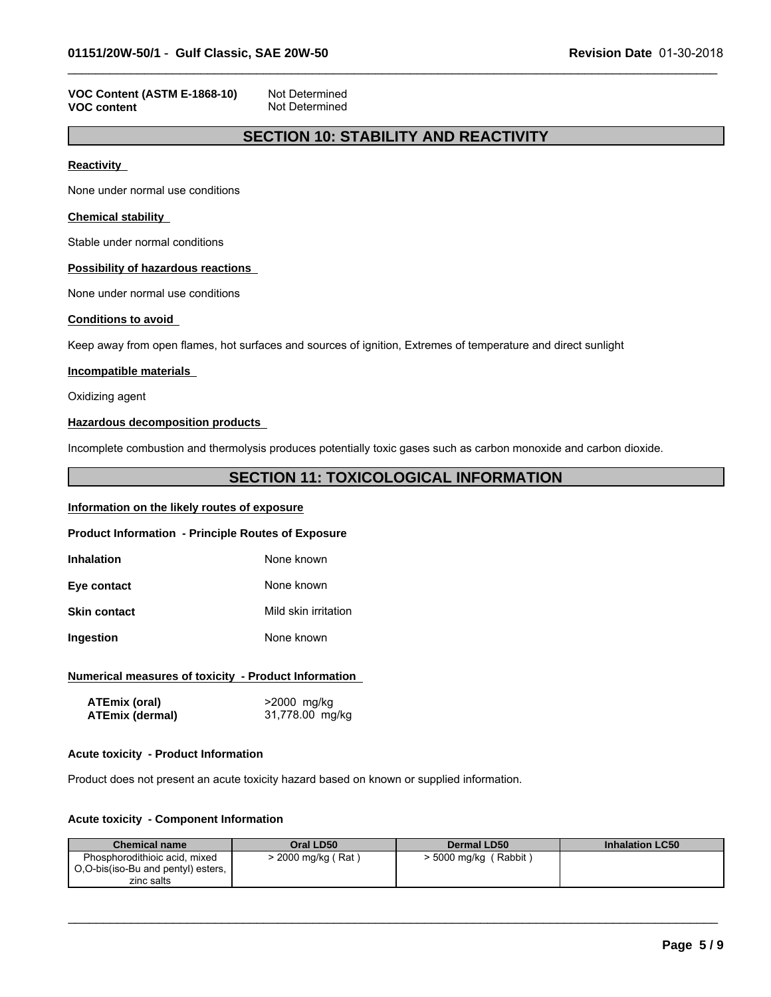#### **VOC Content (ASTM E-1868-10)** Not Determined<br>**VOC content Not Determined Not Determined**

## **SECTION 10: STABILITY AND REACTIVITY**

 $\_$  ,  $\_$  ,  $\_$  ,  $\_$  ,  $\_$  ,  $\_$  ,  $\_$  ,  $\_$  ,  $\_$  ,  $\_$  ,  $\_$  ,  $\_$  ,  $\_$  ,  $\_$  ,  $\_$  ,  $\_$  ,  $\_$  ,  $\_$  ,  $\_$  ,  $\_$  ,  $\_$  ,  $\_$  ,  $\_$  ,  $\_$  ,  $\_$  ,  $\_$  ,  $\_$  ,  $\_$  ,  $\_$  ,  $\_$  ,  $\_$  ,  $\_$  ,  $\_$  ,  $\_$  ,  $\_$  ,  $\_$  ,  $\_$  ,

**Reactivity** 

None under normal use conditions

#### **Chemical stability**

Stable under normal conditions

#### **Possibility of hazardous reactions**

None under normal use conditions

#### **Conditions to avoid**

Keep away from open flames, hot surfaces and sources of ignition, Extremes of temperature and direct sunlight

#### **Incompatible materials**

Oxidizing agent

#### **Hazardous decomposition products**

Incomplete combustion and thermolysis produces potentially toxic gases such as carbon monoxide and carbon dioxide.

### **SECTION 11: TOXICOLOGICAL INFORMATION**

#### **Information on the likely routes of exposure**

#### **Product Information - Principle Routes of Exposure**

| Inhalation | None known |
|------------|------------|
|            |            |

**Eye contact** None known

**Skin contact** Mild skin irritation

**Ingestion** None known

#### **Numerical measures of toxicity - Product Information**

| ATEmix (oral)          | >2000 mg/kg     |
|------------------------|-----------------|
| <b>ATEmix (dermal)</b> | 31,778.00 mg/kg |

#### **Acute toxicity - Product Information**

Product does not present an acute toxicity hazard based on known or supplied information.

#### **Acute toxicity - Component Information**

| <b>Chemical name</b>                                                | Oral LD50        | Dermal LD50            | <b>Inhalation LC50</b> |
|---------------------------------------------------------------------|------------------|------------------------|------------------------|
| Phosphorodithioic acid, mixed<br>O,O-bis(iso-Bu and pentyl) esters, | 2000 mg/kg (Rat) | Rabbit<br>> 5000 mg/kg |                        |
| zinc salts                                                          |                  |                        |                        |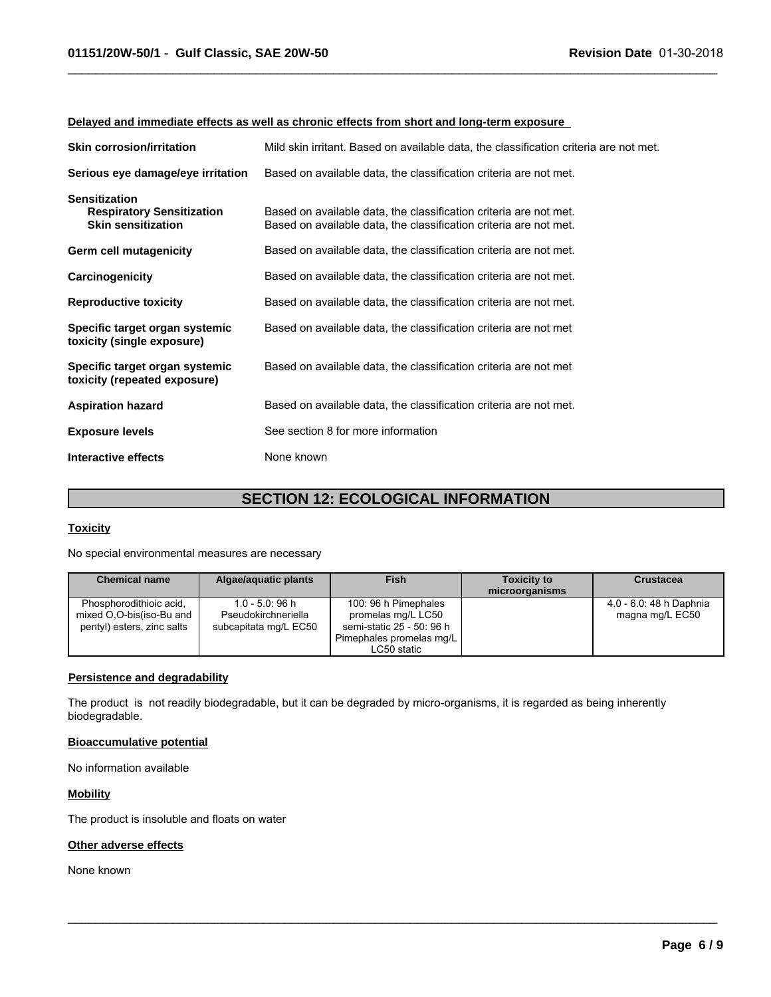#### **Delayed and immediate effects as well as chronic effects from short and long-term exposure**

| <b>Skin corrosion/irritation</b>                                                      | Mild skin irritant. Based on available data, the classification criteria are not met.                                                  |
|---------------------------------------------------------------------------------------|----------------------------------------------------------------------------------------------------------------------------------------|
| Serious eye damage/eye irritation                                                     | Based on available data, the classification criteria are not met.                                                                      |
| <b>Sensitization</b><br><b>Respiratory Sensitization</b><br><b>Skin sensitization</b> | Based on available data, the classification criteria are not met.<br>Based on available data, the classification criteria are not met. |
| Germ cell mutagenicity                                                                | Based on available data, the classification criteria are not met.                                                                      |
| Carcinogenicity                                                                       | Based on available data, the classification criteria are not met.                                                                      |
| <b>Reproductive toxicity</b>                                                          | Based on available data, the classification criteria are not met.                                                                      |
| Specific target organ systemic<br>toxicity (single exposure)                          | Based on available data, the classification criteria are not met                                                                       |
| Specific target organ systemic<br>toxicity (repeated exposure)                        | Based on available data, the classification criteria are not met                                                                       |
| <b>Aspiration hazard</b>                                                              | Based on available data, the classification criteria are not met.                                                                      |
| <b>Exposure levels</b>                                                                | See section 8 for more information                                                                                                     |
| Interactive effects                                                                   | None known                                                                                                                             |

 $\_$  ,  $\_$  ,  $\_$  ,  $\_$  ,  $\_$  ,  $\_$  ,  $\_$  ,  $\_$  ,  $\_$  ,  $\_$  ,  $\_$  ,  $\_$  ,  $\_$  ,  $\_$  ,  $\_$  ,  $\_$  ,  $\_$  ,  $\_$  ,  $\_$  ,  $\_$  ,  $\_$  ,  $\_$  ,  $\_$  ,  $\_$  ,  $\_$  ,  $\_$  ,  $\_$  ,  $\_$  ,  $\_$  ,  $\_$  ,  $\_$  ,  $\_$  ,  $\_$  ,  $\_$  ,  $\_$  ,  $\_$  ,  $\_$  ,

## **SECTION 12: ECOLOGICAL INFORMATION**

#### **Toxicity**

No special environmental measures are necessary

| <b>Chemical name</b>                                                              | Algae/aguatic plants                                             | <b>Fish</b>                                                                                                        | <b>Toxicity to</b><br>microorganisms | <b>Crustacea</b>                           |
|-----------------------------------------------------------------------------------|------------------------------------------------------------------|--------------------------------------------------------------------------------------------------------------------|--------------------------------------|--------------------------------------------|
| Phosphorodithioic acid.<br>mixed O.O-bis(iso-Bu and<br>pentyl) esters, zinc salts | $1.0 - 5.0:96 h$<br>Pseudokirchneriella<br>subcapitata mg/L EC50 | 100: 96 h Pimephales<br>promelas mg/L LC50<br>semi-static 25 - 50: 96 h<br>Pimephales promelas mg/L<br>LC50 static |                                      | 4.0 - 6.0: 48 h Daphnia<br>magna mg/L EC50 |

 $\_$  ,  $\_$  ,  $\_$  ,  $\_$  ,  $\_$  ,  $\_$  ,  $\_$  ,  $\_$  ,  $\_$  ,  $\_$  ,  $\_$  ,  $\_$  ,  $\_$  ,  $\_$  ,  $\_$  ,  $\_$  ,  $\_$  ,  $\_$  ,  $\_$  ,  $\_$  ,  $\_$  ,  $\_$  ,  $\_$  ,  $\_$  ,  $\_$  ,  $\_$  ,  $\_$  ,  $\_$  ,  $\_$  ,  $\_$  ,  $\_$  ,  $\_$  ,  $\_$  ,  $\_$  ,  $\_$  ,  $\_$  ,  $\_$  ,

#### **Persistence and degradability**

The product is not readily biodegradable, but it can be degraded by micro-organisms, it is regarded as being inherently biodegradable.

#### **Bioaccumulative potential**

No information available

#### **Mobility**

The product is insoluble and floats on water

#### **Other adverse effects**

None known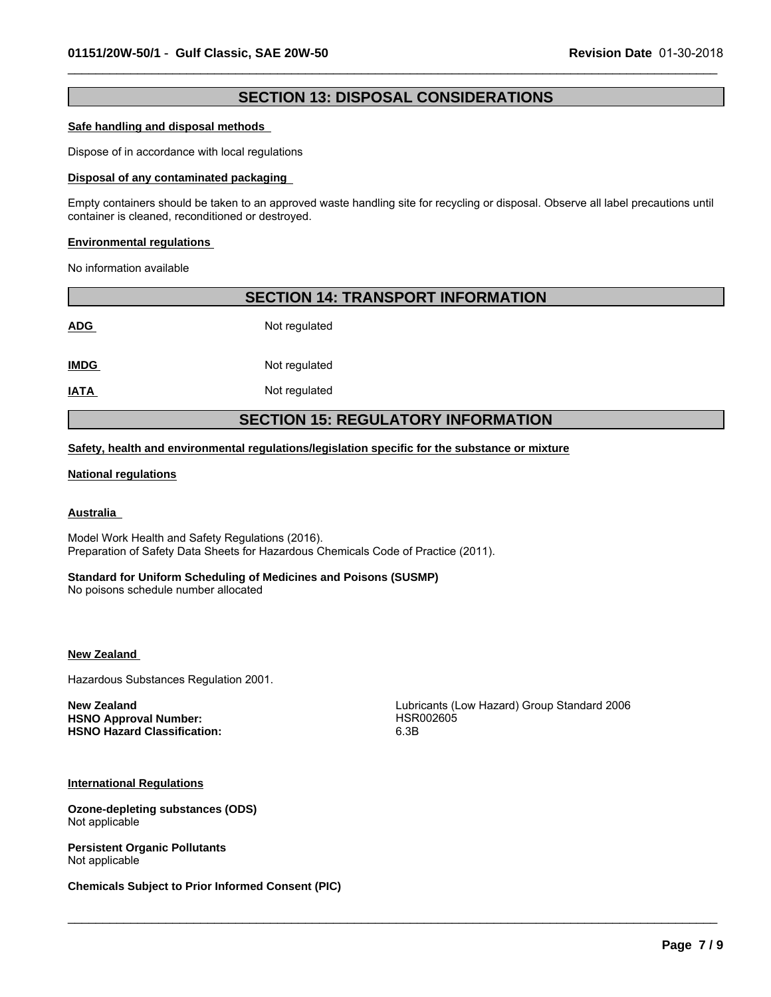## **SECTION 13: DISPOSAL CONSIDERATIONS**

 $\_$  ,  $\_$  ,  $\_$  ,  $\_$  ,  $\_$  ,  $\_$  ,  $\_$  ,  $\_$  ,  $\_$  ,  $\_$  ,  $\_$  ,  $\_$  ,  $\_$  ,  $\_$  ,  $\_$  ,  $\_$  ,  $\_$  ,  $\_$  ,  $\_$  ,  $\_$  ,  $\_$  ,  $\_$  ,  $\_$  ,  $\_$  ,  $\_$  ,  $\_$  ,  $\_$  ,  $\_$  ,  $\_$  ,  $\_$  ,  $\_$  ,  $\_$  ,  $\_$  ,  $\_$  ,  $\_$  ,  $\_$  ,  $\_$  ,

#### **Safe handling and disposal methods**

Dispose of in accordance with local regulations

#### **Disposal of any contaminated packaging**

Empty containers should be taken to an approved waste handling site for recycling or disposal. Observe all label precautions until container is cleaned, reconditioned or destroyed.

#### **Environmental regulations**

No information available

| <b>SECTION 14: TRANSPORT INFORMATION</b>  |               |  |
|-------------------------------------------|---------------|--|
| <b>ADG</b>                                | Not regulated |  |
| <b>IMDG</b>                               | Not regulated |  |
| <b>IATA</b>                               | Not regulated |  |
| <b>SECTION 15: REGULATORY INFORMATION</b> |               |  |

#### **Safety, health and environmental regulations/legislation specific for the substance or mixture**

#### **National regulations**

#### **Australia**

Model Work Health and Safety Regulations (2016). Preparation of Safety Data Sheets for Hazardous Chemicals Code of Practice (2011).

#### **Standard for Uniform Scheduling of Medicines and Poisons (SUSMP)**

No poisons schedule number allocated

#### **New Zealand**

Hazardous Substances Regulation 2001.

HSNO Approval Number: **HSR002605 HSNO Hazard Classification:** 6.3B

**New Zealand New Zealand Lubricants (Low Hazard)** Group Standard 2006

 $\_$  ,  $\_$  ,  $\_$  ,  $\_$  ,  $\_$  ,  $\_$  ,  $\_$  ,  $\_$  ,  $\_$  ,  $\_$  ,  $\_$  ,  $\_$  ,  $\_$  ,  $\_$  ,  $\_$  ,  $\_$  ,  $\_$  ,  $\_$  ,  $\_$  ,  $\_$  ,  $\_$  ,  $\_$  ,  $\_$  ,  $\_$  ,  $\_$  ,  $\_$  ,  $\_$  ,  $\_$  ,  $\_$  ,  $\_$  ,  $\_$  ,  $\_$  ,  $\_$  ,  $\_$  ,  $\_$  ,  $\_$  ,  $\_$  ,

#### **International Regulations**

**Ozone-depleting substances (ODS)** Not applicable

**Persistent Organic Pollutants** Not applicable

**Chemicals Subject to Prior Informed Consent (PIC)**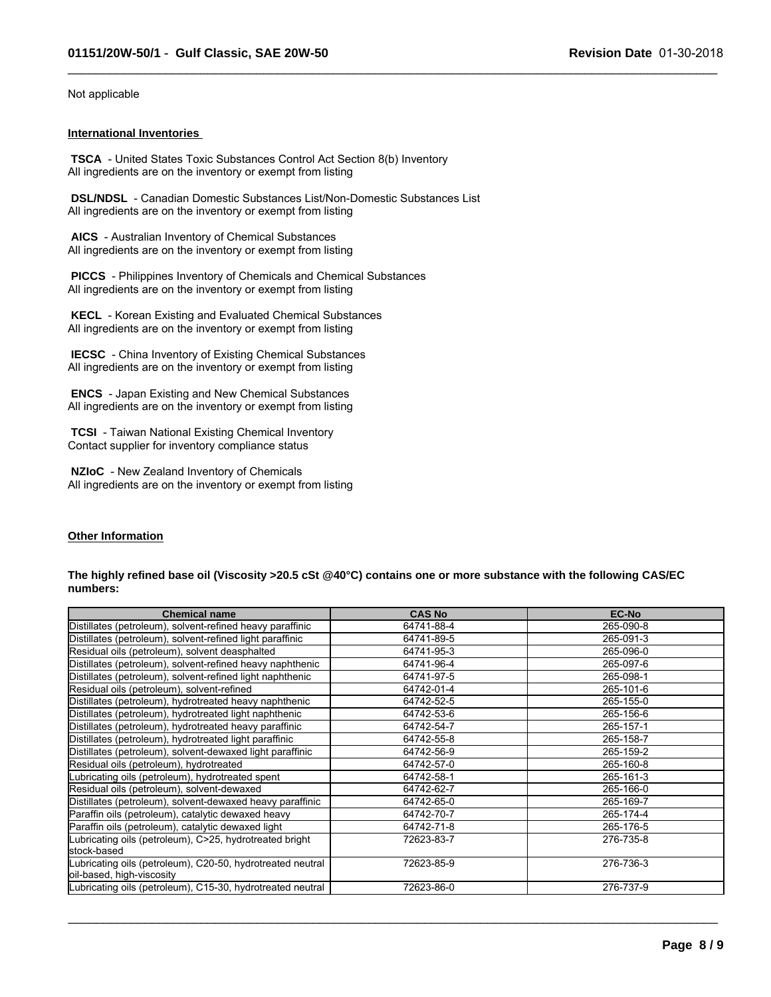Not applicable

#### **International Inventories**

 **TSCA** - United States Toxic Substances Control Act Section 8(b) Inventory All ingredients are on the inventory or exempt from listing

 **DSL/NDSL** - Canadian Domestic Substances List/Non-Domestic Substances List All ingredients are on the inventory or exempt from listing

 **AICS** - Australian Inventory of Chemical Substances All ingredients are on the inventory or exempt from listing

 **PICCS** - Philippines Inventory of Chemicals and Chemical Substances All ingredients are on the inventory or exempt from listing

 **KECL** - Korean Existing and Evaluated Chemical Substances All ingredients are on the inventory or exempt from listing

 **IECSC** - China Inventory of Existing Chemical Substances All ingredients are on the inventory or exempt from listing

 **ENCS** - Japan Existing and New Chemical Substances All ingredients are on the inventory or exempt from listing

 **TCSI** - Taiwan National Existing Chemical Inventory Contact supplier for inventory compliance status

 **NZIoC** - New Zealand Inventory of Chemicals All ingredients are on the inventory or exempt from listing

#### **Other Information**

#### **The highly refined base oil (Viscosity >20.5 cSt @40°C) contains one or more substance with the following CAS/EC numbers:**

 $\_$  ,  $\_$  ,  $\_$  ,  $\_$  ,  $\_$  ,  $\_$  ,  $\_$  ,  $\_$  ,  $\_$  ,  $\_$  ,  $\_$  ,  $\_$  ,  $\_$  ,  $\_$  ,  $\_$  ,  $\_$  ,  $\_$  ,  $\_$  ,  $\_$  ,  $\_$  ,  $\_$  ,  $\_$  ,  $\_$  ,  $\_$  ,  $\_$  ,  $\_$  ,  $\_$  ,  $\_$  ,  $\_$  ,  $\_$  ,  $\_$  ,  $\_$  ,  $\_$  ,  $\_$  ,  $\_$  ,  $\_$  ,  $\_$  ,

| <b>Chemical name</b>                                                                    | <b>CAS No</b> | <b>EC-No</b> |
|-----------------------------------------------------------------------------------------|---------------|--------------|
| Distillates (petroleum), solvent-refined heavy paraffinic                               | 64741-88-4    | 265-090-8    |
| Distillates (petroleum), solvent-refined light paraffinic                               | 64741-89-5    | 265-091-3    |
| Residual oils (petroleum), solvent deasphalted                                          | 64741-95-3    | 265-096-0    |
| Distillates (petroleum), solvent-refined heavy naphthenic                               | 64741-96-4    | 265-097-6    |
| Distillates (petroleum), solvent-refined light naphthenic                               | 64741-97-5    | 265-098-1    |
| Residual oils (petroleum), solvent-refined                                              | 64742-01-4    | 265-101-6    |
| Distillates (petroleum), hydrotreated heavy naphthenic                                  | 64742-52-5    | 265-155-0    |
| Distillates (petroleum), hydrotreated light naphthenic                                  | 64742-53-6    | 265-156-6    |
| Distillates (petroleum), hydrotreated heavy paraffinic                                  | 64742-54-7    | 265-157-1    |
| Distillates (petroleum), hydrotreated light paraffinic                                  | 64742-55-8    | 265-158-7    |
| Distillates (petroleum), solvent-dewaxed light paraffinic                               | 64742-56-9    | 265-159-2    |
| Residual oils (petroleum), hydrotreated                                                 | 64742-57-0    | 265-160-8    |
| Lubricating oils (petroleum), hydrotreated spent                                        | 64742-58-1    | 265-161-3    |
| Residual oils (petroleum), solvent-dewaxed                                              | 64742-62-7    | 265-166-0    |
| Distillates (petroleum), solvent-dewaxed heavy paraffinic                               | 64742-65-0    | 265-169-7    |
| Paraffin oils (petroleum), catalytic dewaxed heavy                                      | 64742-70-7    | 265-174-4    |
| Paraffin oils (petroleum), catalytic dewaxed light                                      | 64742-71-8    | 265-176-5    |
| ubricating oils (petroleum), C>25, hydrotreated bright<br>stock-based                   | 72623-83-7    | 276-735-8    |
| Lubricating oils (petroleum), C20-50, hydrotreated neutral<br>oil-based, high-viscosity | 72623-85-9    | 276-736-3    |
| Lubricating oils (petroleum), C15-30, hydrotreated neutral                              | 72623-86-0    | 276-737-9    |